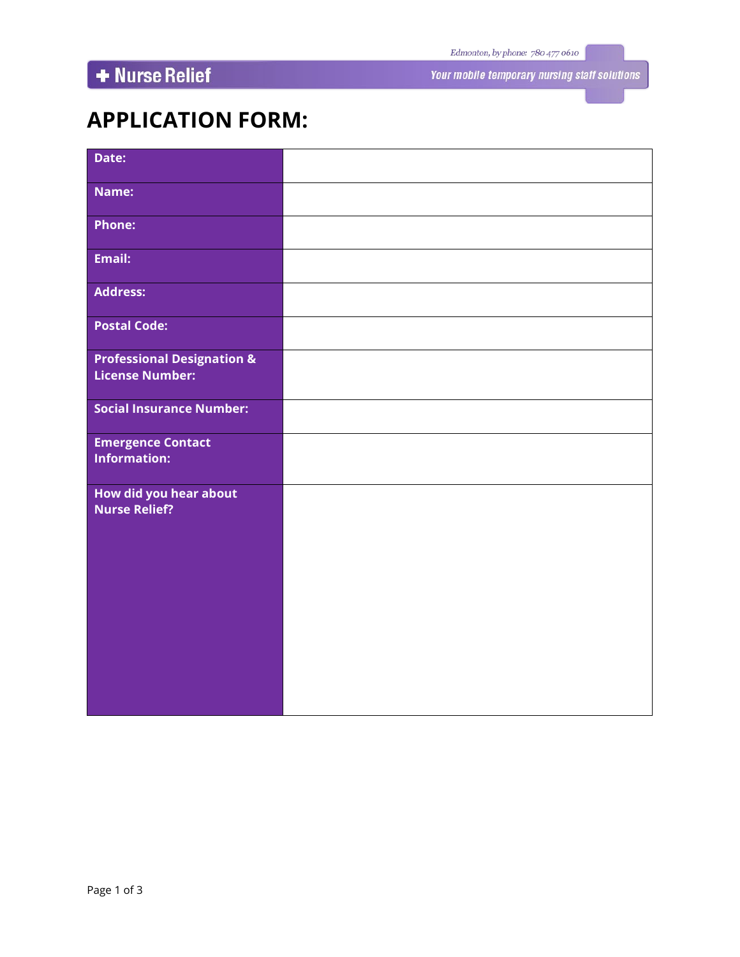# + Nurse Relief

Your mobile temporary nursing staff solutions

## **APPLICATION FORM:**

| Date:                                                           |  |
|-----------------------------------------------------------------|--|
| Name:                                                           |  |
| <b>Phone:</b>                                                   |  |
| <b>Email:</b>                                                   |  |
| <b>Address:</b>                                                 |  |
| <b>Postal Code:</b>                                             |  |
| <b>Professional Designation &amp;</b><br><b>License Number:</b> |  |
| <b>Social Insurance Number:</b>                                 |  |
| <b>Emergence Contact</b><br><b>Information:</b>                 |  |
| How did you hear about<br><b>Nurse Relief?</b>                  |  |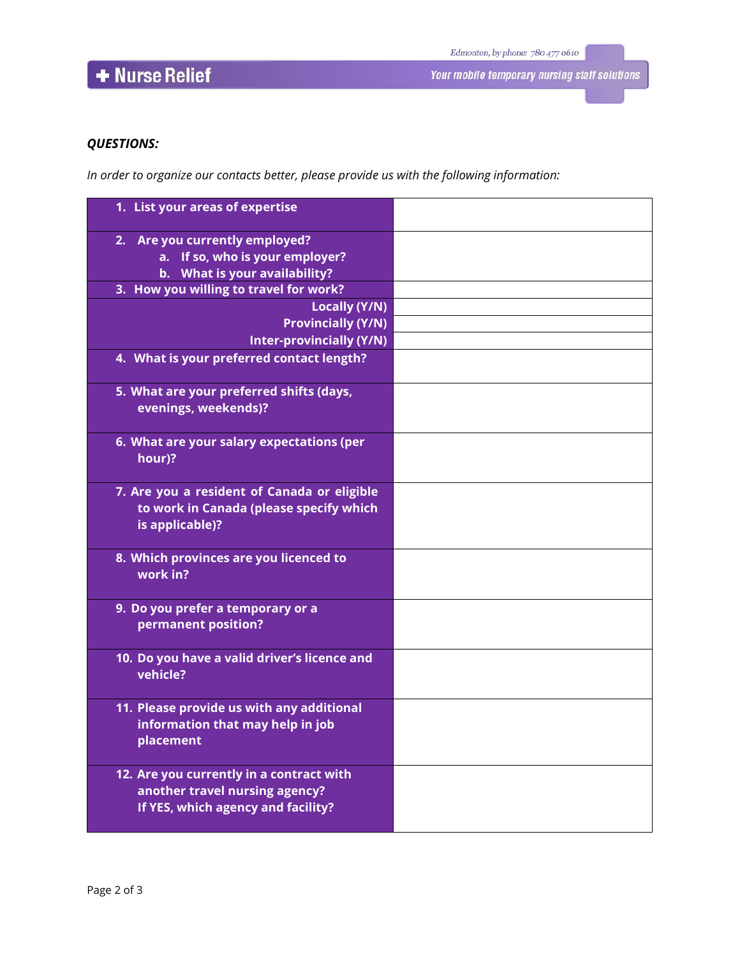# + Nurse Relief

### *QUESTIONS:*

*In order to organize our contacts better, please provide us with the following information:*

| 1. List your areas of expertise                                                                                  |  |
|------------------------------------------------------------------------------------------------------------------|--|
| 2. Are you currently employed?<br>a. If so, who is your employer?<br>b. What is your availability?               |  |
| 3. How you willing to travel for work?                                                                           |  |
| <b>Locally (Y/N)</b>                                                                                             |  |
| <b>Provincially (Y/N)</b>                                                                                        |  |
| <b>Inter-provincially (Y/N)</b>                                                                                  |  |
| 4. What is your preferred contact length?                                                                        |  |
| 5. What are your preferred shifts (days,<br>evenings, weekends)?                                                 |  |
| 6. What are your salary expectations (per<br>hour)?                                                              |  |
| 7. Are you a resident of Canada or eligible<br>to work in Canada (please specify which<br>is applicable)?        |  |
| 8. Which provinces are you licenced to<br>work in?                                                               |  |
| 9. Do you prefer a temporary or a<br>permanent position?                                                         |  |
| 10. Do you have a valid driver's licence and<br>vehicle?                                                         |  |
| 11. Please provide us with any additional<br>information that may help in job<br>placement                       |  |
| 12. Are you currently in a contract with<br>another travel nursing agency?<br>If YES, which agency and facility? |  |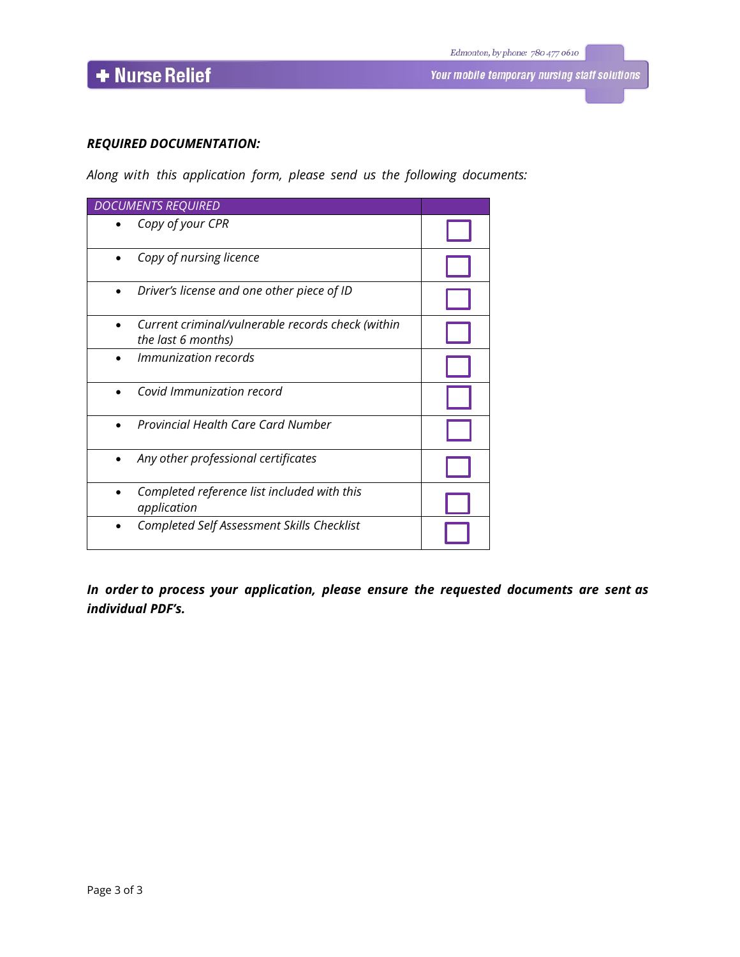$\overline{\phantom{a}}$  Nurse Relief

#### *REQUIRED DOCUMENTATION:*

*Along with this application form, please send us the following documents:*

| <b>DOCUMENTS REQUIRED</b>                                               |  |
|-------------------------------------------------------------------------|--|
| Copy of your CPR                                                        |  |
| Copy of nursing licence                                                 |  |
| Driver's license and one other piece of ID                              |  |
| Current criminal/vulnerable records check (within<br>the last 6 months) |  |
| <i>Immunization records</i>                                             |  |
| Covid Immunization record                                               |  |
| <b>Provincial Health Care Card Number</b>                               |  |
| Any other professional certificates                                     |  |
| Completed reference list included with this<br>application              |  |
| Completed Self Assessment Skills Checklist                              |  |

*In order to process your application, please ensure the requested documents are sent as individual PDF's.*